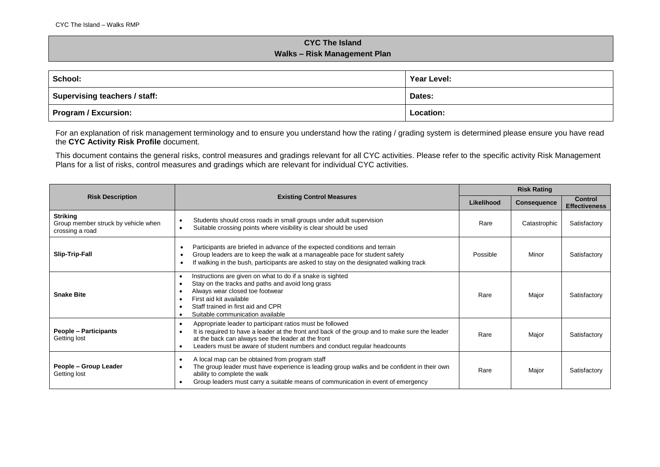## **CYC The Island Walks – Risk Management Plan**

| School:                              | Year Level: |  |
|--------------------------------------|-------------|--|
| <b>Supervising teachers / staff:</b> | Dates:      |  |
| <b>Program / Excursion:</b>          | Location:   |  |

For an explanation of risk management terminology and to ensure you understand how the rating / grading system is determined please ensure you have read the **CYC Activity Risk Profile** document.

This document contains the general risks, control measures and gradings relevant for all CYC activities. Please refer to the specific activity Risk Management Plans for a list of risks, control measures and gradings which are relevant for individual CYC activities.

|                                                                           |                                                                                                                                                                                                                                                                                                                                     | <b>Risk Rating</b> |                    |                                 |
|---------------------------------------------------------------------------|-------------------------------------------------------------------------------------------------------------------------------------------------------------------------------------------------------------------------------------------------------------------------------------------------------------------------------------|--------------------|--------------------|---------------------------------|
| <b>Risk Description</b>                                                   | <b>Existing Control Measures</b>                                                                                                                                                                                                                                                                                                    | Likelihood         | <b>Consequence</b> | Control<br><b>Effectiveness</b> |
| <b>Striking</b><br>Group member struck by vehicle when<br>crossing a road | Students should cross roads in small groups under adult supervision<br>$\bullet$<br>Suitable crossing points where visibility is clear should be used<br>$\bullet$                                                                                                                                                                  | Rare               | Catastrophic       | Satisfactory                    |
| Slip-Trip-Fall                                                            | Participants are briefed in advance of the expected conditions and terrain<br>$\bullet$<br>Group leaders are to keep the walk at a manageable pace for student safety<br>If walking in the bush, participants are asked to stay on the designated walking track<br>$\bullet$                                                        | Possible           | Minor              | Satisfactory                    |
| <b>Snake Bite</b>                                                         | Instructions are given on what to do if a snake is sighted<br>$\bullet$<br>Stay on the tracks and paths and avoid long grass<br>$\bullet$<br>Always wear closed toe footwear<br>$\bullet$<br>First aid kit available<br>٠<br>Staff trained in first aid and CPR<br>$\bullet$<br>Suitable communication available                    | Rare               | Major              | Satisfactory                    |
| <b>People - Participants</b><br>Getting lost                              | Appropriate leader to participant ratios must be followed<br>$\bullet$<br>It is required to have a leader at the front and back of the group and to make sure the leader<br>$\bullet$<br>at the back can always see the leader at the front<br>Leaders must be aware of student numbers and conduct regular headcounts<br>$\bullet$ | Rare               | Major              | Satisfactory                    |
| People - Group Leader<br>Getting lost                                     | A local map can be obtained from program staff<br>$\bullet$<br>The group leader must have experience is leading group walks and be confident in their own<br>ability to complete the walk<br>Group leaders must carry a suitable means of communication in event of emergency<br>$\bullet$                                          | Rare               | Major              | Satisfactory                    |